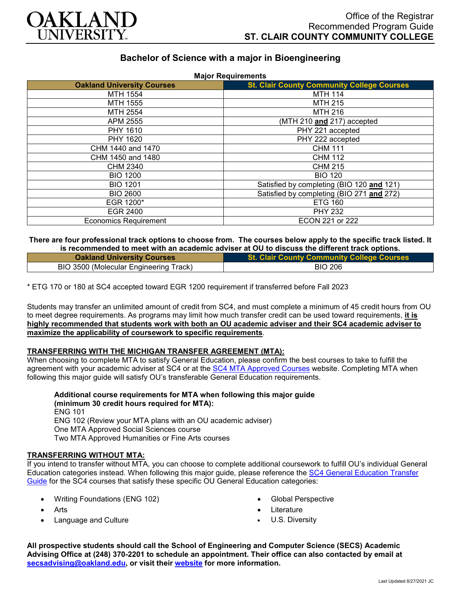

# **Bachelor of Science with a major in Bioengineering**

| <b>Oakland University Courses</b> | <b>St. Clair County Community College Courses</b> |
|-----------------------------------|---------------------------------------------------|
| MTH 1554                          | <b>MTH 114</b>                                    |
| MTH 1555                          | <b>MTH 215</b>                                    |
| MTH 2554                          | <b>MTH 216</b>                                    |
| APM 2555                          | (MTH 210 and 217) accepted                        |
| PHY 1610                          | PHY 221 accepted                                  |
| PHY 1620                          | PHY 222 accepted                                  |
| CHM 1440 and 1470                 | <b>CHM 111</b>                                    |
| CHM 1450 and 1480                 | <b>CHM 112</b>                                    |
| CHM 2340                          | <b>CHM 215</b>                                    |
| <b>BIO 1200</b>                   | <b>BIO 120</b>                                    |
| <b>BIO 1201</b>                   | Satisfied by completing (BIO 120 and 121)         |
| <b>BIO 2600</b>                   | Satisfied by completing (BIO 271 and 272)         |
| EGR 1200*                         | <b>ETG 160</b>                                    |
| <b>EGR 2400</b>                   | <b>PHY 232</b>                                    |
| <b>Economics Requirement</b>      | ECON 221 or 222                                   |

#### **There are four professional track options to choose from. The courses below apply to the specific track listed. It is recommended to meet with an academic adviser at OU to discuss the different track options.**

| <b>Oakland University Courses</b>      | <b>St. Clair County Community College Courses</b> |
|----------------------------------------|---------------------------------------------------|
| BIO 3500 (Molecular Engineering Track) | <b>BIO 206</b>                                    |

\* ETG 170 or 180 at SC4 accepted toward EGR 1200 requirement if transferred before Fall 2023

Students may transfer an unlimited amount of credit from SC4, and must complete a minimum of 45 credit hours from OU to meet degree requirements. As programs may limit how much transfer credit can be used toward requirements, **it is highly recommended that students work with both an OU academic adviser and their SC4 academic adviser to maximize the applicability of coursework to specific requirements**.

## **TRANSFERRING WITH THE MICHIGAN TRANSFER AGREEMENT (MTA):**

When choosing to complete MTA to satisfy General Education, please confirm the best courses to take to fulfill the agreement with your academic adviser at SC4 or at the **SC4 MTA Approved Courses** website. Completing MTA when following this major guide will satisfy OU's transferable General Education requirements.

**Additional course requirements for MTA when following this major guide (minimum 30 credit hours required for MTA):** ENG 101 ENG 102 (Review your MTA plans with an OU academic adviser) One MTA Approved Social Sciences course Two MTA Approved Humanities or Fine Arts courses

#### **TRANSFERRING WITHOUT MTA:**

If you intend to transfer without MTA, you can choose to complete additional coursework to fulfill OU's individual General Education categories instead. When following this major guide, please reference the [SC4 General Education Transfer](https://www.oakland.edu/Assets/Oakland/program-guides/st-clair-county-community-college/university-general-education-requirements/SC4%20Gen%20Ed.pdf)  [Guide](https://www.oakland.edu/Assets/Oakland/program-guides/st-clair-county-community-college/university-general-education-requirements/SC4%20Gen%20Ed.pdf) for the SC4 courses that satisfy these specific OU General Education categories:

- Writing Foundations (ENG 102)
- **Arts**
- Language and Culture
- Global Perspective
- **Literature**
- U.S. Diversity

**All prospective students should call the School of Engineering and Computer Science (SECS) Academic Advising Office at (248) 370-2201 to schedule an appointment. Their office can also contacted by email at [secsadvising@oakland.edu,](mailto:secsadvising@oakland.edu) or visit their [website](https://wwwp.oakland.edu/secs/advising/) for more information.**